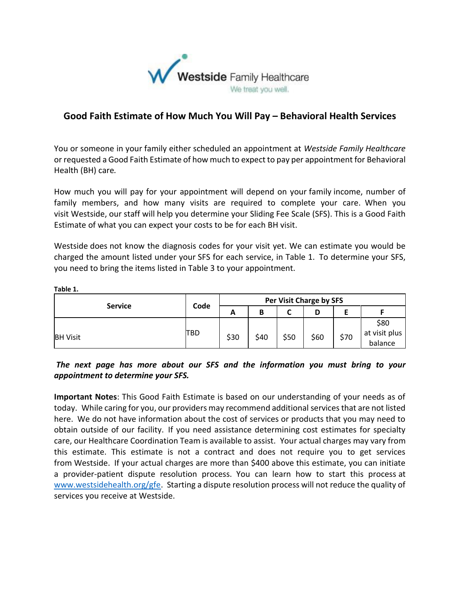

## **Good Faith Estimate of How Much You Will Pay – Behavioral Health Services**

You or someone in your family either scheduled an appointment at *Westside Family Healthcare*  or requested a Good Faith Estimate of how much to expect to pay per appointment for Behavioral Health (BH) care*.*

How much you will pay for your appointment will depend on your family income, number of family members, and how many visits are required to complete your care. When you visit Westside, our staff will help you determine your Sliding Fee Scale (SFS). This is a Good Faith Estimate of what you can expect your costs to be for each BH visit.

Westside does not know the diagnosis codes for your visit yet. We can estimate you would be charged the amount listed under your SFS for each service, in Table 1. To determine your SFS, you need to bring the items listed in Table 3 to your appointment.

**Table 1.**

|                 | Code        | Per Visit Charge by SFS |      |      |      |      |               |
|-----------------|-------------|-------------------------|------|------|------|------|---------------|
| <b>Service</b>  |             | A                       | В    |      |      |      |               |
|                 |             |                         |      |      |      |      | \$80          |
| <b>BH Visit</b> | <b>ITBD</b> | \$30                    | \$40 | \$50 | \$60 | \$70 | at visit plus |
|                 |             |                         |      |      |      |      | balance       |

## *The next page has more about our SFS and the information you must bring to your appointment to determine your SFS.*

**Important Notes**: This Good Faith Estimate is based on our understanding of your needs as of today. While caring for you, our providers may recommend additional services that are not listed here. We do not have information about the cost of services or products that you may need to obtain outside of our facility. If you need assistance determining cost estimates for specialty care, our Healthcare Coordination Team is available to assist. Your actual charges may vary from this estimate. This estimate is not a contract and does not require you to get services from Westside.If your actual charges are more than \$400 above this estimate, you can initiate a provider-patient dispute resolution process. You can learn how to start this process at [www.westsidehealth.org/gfe.](http://www.westsidehealth.org/gfe) Starting a dispute resolution process will not reduce the quality of services you receive at Westside.